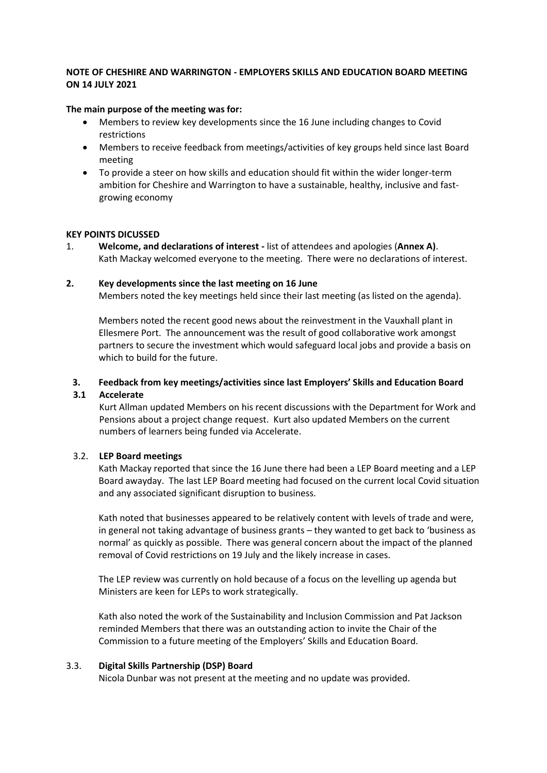## **NOTE OF CHESHIRE AND WARRINGTON - EMPLOYERS SKILLS AND EDUCATION BOARD MEETING ON 14 JULY 2021**

### **The main purpose of the meeting was for:**

- Members to review key developments since the 16 June including changes to Covid restrictions
- Members to receive feedback from meetings/activities of key groups held since last Board meeting
- To provide a steer on how skills and education should fit within the wider longer-term ambition for Cheshire and Warrington to have a sustainable, healthy, inclusive and fastgrowing economy

## **KEY POINTS DICUSSED**

1. **Welcome, and declarations of interest -** list of attendees and apologies (**Annex A)**. Kath Mackay welcomed everyone to the meeting. There were no declarations of interest.

#### **2. Key developments since the last meeting on 16 June**

Members noted the key meetings held since their last meeting (as listed on the agenda).

Members noted the recent good news about the reinvestment in the Vauxhall plant in Ellesmere Port. The announcement was the result of good collaborative work amongst partners to secure the investment which would safeguard local jobs and provide a basis on which to build for the future.

### **3. Feedback from key meetings/activities since last Employers' Skills and Education Board**

#### **3.1 Accelerate**

Kurt Allman updated Members on his recent discussions with the Department for Work and Pensions about a project change request. Kurt also updated Members on the current numbers of learners being funded via Accelerate.

#### 3.2. **LEP Board meetings**

Kath Mackay reported that since the 16 June there had been a LEP Board meeting and a LEP Board awayday. The last LEP Board meeting had focused on the current local Covid situation and any associated significant disruption to business.

Kath noted that businesses appeared to be relatively content with levels of trade and were, in general not taking advantage of business grants – they wanted to get back to 'business as normal' as quickly as possible. There was general concern about the impact of the planned removal of Covid restrictions on 19 July and the likely increase in cases.

The LEP review was currently on hold because of a focus on the levelling up agenda but Ministers are keen for LEPs to work strategically.

Kath also noted the work of the Sustainability and Inclusion Commission and Pat Jackson reminded Members that there was an outstanding action to invite the Chair of the Commission to a future meeting of the Employers' Skills and Education Board.

#### 3.3. **Digital Skills Partnership (DSP) Board**

Nicola Dunbar was not present at the meeting and no update was provided.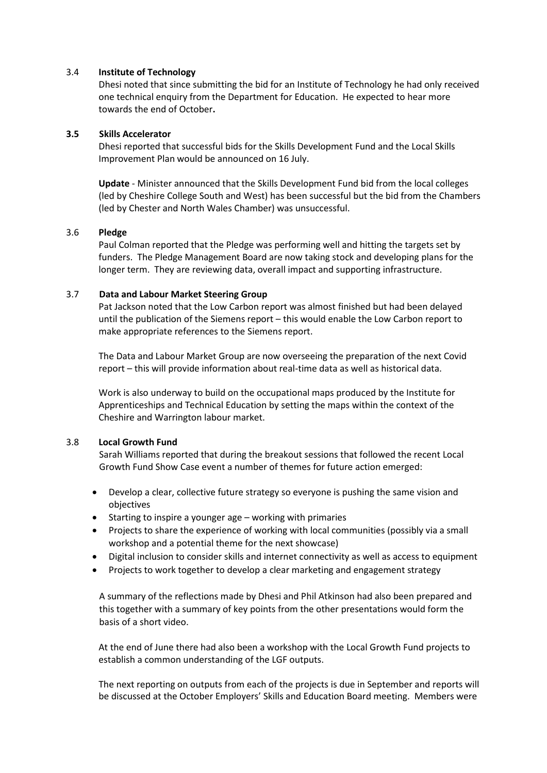### 3.4 **Institute of Technology**

Dhesi noted that since submitting the bid for an Institute of Technology he had only received one technical enquiry from the Department for Education. He expected to hear more towards the end of October**.**

### **3.5 Skills Accelerator**

Dhesi reported that successful bids for the Skills Development Fund and the Local Skills Improvement Plan would be announced on 16 July.

**Update** - Minister announced that the Skills Development Fund bid from the local colleges (led by Cheshire College South and West) has been successful but the bid from the Chambers (led by Chester and North Wales Chamber) was unsuccessful.

## 3.6 **Pledge**

Paul Colman reported that the Pledge was performing well and hitting the targets set by funders. The Pledge Management Board are now taking stock and developing plans for the longer term. They are reviewing data, overall impact and supporting infrastructure.

## 3.7 **Data and Labour Market Steering Group**

Pat Jackson noted that the Low Carbon report was almost finished but had been delayed until the publication of the Siemens report – this would enable the Low Carbon report to make appropriate references to the Siemens report.

The Data and Labour Market Group are now overseeing the preparation of the next Covid report – this will provide information about real-time data as well as historical data.

Work is also underway to build on the occupational maps produced by the Institute for Apprenticeships and Technical Education by setting the maps within the context of the Cheshire and Warrington labour market.

#### 3.8 **Local Growth Fund**

Sarah Williams reported that during the breakout sessions that followed the recent Local Growth Fund Show Case event a number of themes for future action emerged:

- Develop a clear, collective future strategy so everyone is pushing the same vision and objectives
- Starting to inspire a younger age working with primaries
- Projects to share the experience of working with local communities (possibly via a small workshop and a potential theme for the next showcase)
- Digital inclusion to consider skills and internet connectivity as well as access to equipment
- Projects to work together to develop a clear marketing and engagement strategy

A summary of the reflections made by Dhesi and Phil Atkinson had also been prepared and this together with a summary of key points from the other presentations would form the basis of a short video.

At the end of June there had also been a workshop with the Local Growth Fund projects to establish a common understanding of the LGF outputs.

The next reporting on outputs from each of the projects is due in September and reports will be discussed at the October Employers' Skills and Education Board meeting. Members were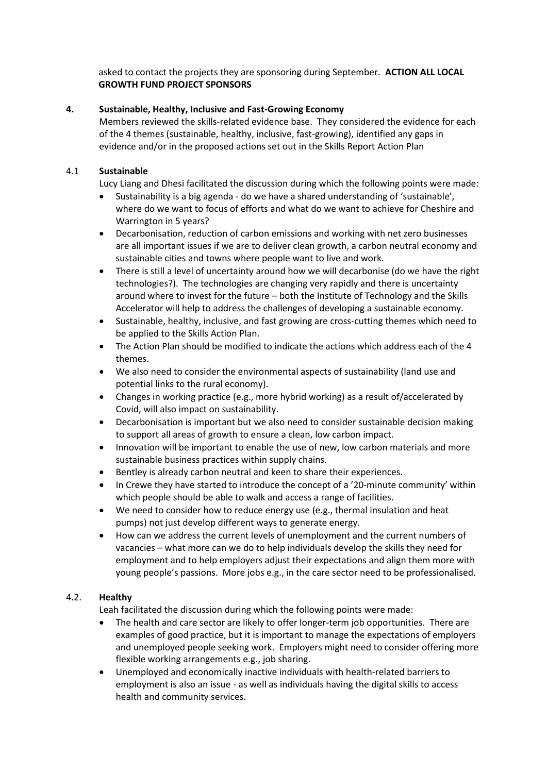asked to contact the projects they are sponsoring during September. **ACTION ALL LOCAL GROWTH FUND PROJECT SPONSORS**

## **4. Sustainable, Healthy, Inclusive and Fast-Growing Economy**

Members reviewed the skills-related evidence base. They considered the evidence for each of the 4 themes (sustainable, healthy, inclusive, fast-growing), identified any gaps in evidence and/or in the proposed actions set out in the Skills Report Action Plan

## 4.1 **Sustainable**

Lucy Liang and Dhesi facilitated the discussion during which the following points were made:

- Sustainability is a big agenda do we have a shared understanding of 'sustainable', where do we want to focus of efforts and what do we want to achieve for Cheshire and Warrington in 5 years?
- Decarbonisation, reduction of carbon emissions and working with net zero businesses are all important issues if we are to deliver clean growth, a carbon neutral economy and sustainable cities and towns where people want to live and work.
- There is still a level of uncertainty around how we will decarbonise (do we have the right technologies?). The technologies are changing very rapidly and there is uncertainty around where to invest for the future – both the Institute of Technology and the Skills Accelerator will help to address the challenges of developing a sustainable economy.
- Sustainable, healthy, inclusive, and fast growing are cross-cutting themes which need to be applied to the Skills Action Plan.
- The Action Plan should be modified to indicate the actions which address each of the 4 themes.
- We also need to consider the environmental aspects of sustainability (land use and potential links to the rural economy).
- Changes in working practice (e.g., more hybrid working) as a result of/accelerated by Covid, will also impact on sustainability.
- Decarbonisation is important but we also need to consider sustainable decision making to support all areas of growth to ensure a clean, low carbon impact.
- Innovation will be important to enable the use of new, low carbon materials and more sustainable business practices within supply chains.
- Bentley is already carbon neutral and keen to share their experiences.
- In Crewe they have started to introduce the concept of a '20-minute community' within which people should be able to walk and access a range of facilities.
- We need to consider how to reduce energy use (e.g., thermal insulation and heat pumps) not just develop different ways to generate energy.
- How can we address the current levels of unemployment and the current numbers of vacancies – what more can we do to help individuals develop the skills they need for employment and to help employers adjust their expectations and align them more with young people's passions. More jobs e.g., in the care sector need to be professionalised.

#### 4.2. **Healthy**

Leah facilitated the discussion during which the following points were made:

- The health and care sector are likely to offer longer-term job opportunities. There are examples of good practice, but it is important to manage the expectations of employers and unemployed people seeking work. Employers might need to consider offering more flexible working arrangements e.g., job sharing.
- Unemployed and economically inactive individuals with health-related barriers to employment is also an issue - as well as individuals having the digital skills to access health and community services.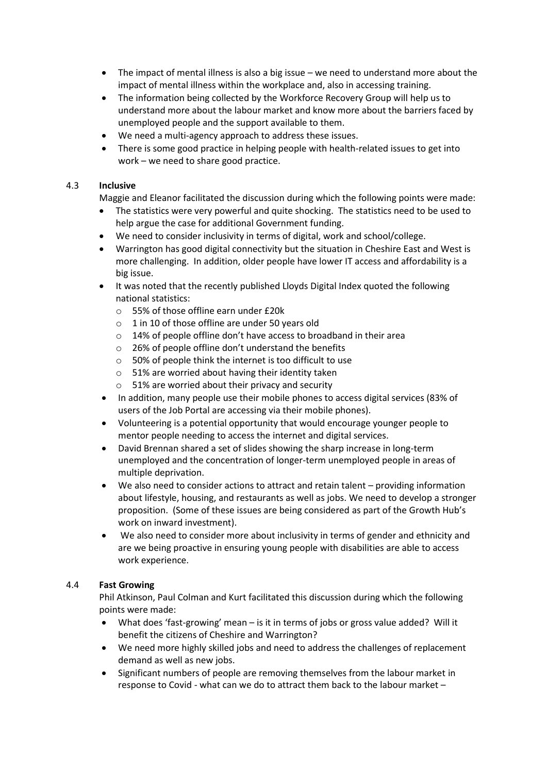- The impact of mental illness is also a big issue we need to understand more about the impact of mental illness within the workplace and, also in accessing training.
- The information being collected by the Workforce Recovery Group will help us to understand more about the labour market and know more about the barriers faced by unemployed people and the support available to them.
- We need a multi-agency approach to address these issues.
- There is some good practice in helping people with health-related issues to get into work – we need to share good practice.

# 4.3 **Inclusive**

Maggie and Eleanor facilitated the discussion during which the following points were made:

- The statistics were very powerful and quite shocking. The statistics need to be used to help argue the case for additional Government funding.
- We need to consider inclusivity in terms of digital, work and school/college.
- Warrington has good digital connectivity but the situation in Cheshire East and West is more challenging. In addition, older people have lower IT access and affordability is a big issue.
- It was noted that the recently published Lloyds Digital Index quoted the following national statistics:
	- o 55% of those offline earn under £20k
	- o 1 in 10 of those offline are under 50 years old
	- o 14% of people offline don't have access to broadband in their area
	- o 26% of people offline don't understand the benefits
	- o 50% of people think the internet is too difficult to use
	- o 51% are worried about having their identity taken
	- $\circ$  51% are worried about their privacy and security
- In addition, many people use their mobile phones to access digital services (83% of users of the Job Portal are accessing via their mobile phones).
- Volunteering is a potential opportunity that would encourage younger people to mentor people needing to access the internet and digital services.
- David Brennan shared a set of slides showing the sharp increase in long-term unemployed and the concentration of longer-term unemployed people in areas of multiple deprivation.
- We also need to consider actions to attract and retain talent providing information about lifestyle, housing, and restaurants as well as jobs. We need to develop a stronger proposition. (Some of these issues are being considered as part of the Growth Hub's work on inward investment).
- We also need to consider more about inclusivity in terms of gender and ethnicity and are we being proactive in ensuring young people with disabilities are able to access work experience.

# 4.4 **Fast Growing**

Phil Atkinson, Paul Colman and Kurt facilitated this discussion during which the following points were made:

- What does 'fast-growing' mean is it in terms of jobs or gross value added? Will it benefit the citizens of Cheshire and Warrington?
- We need more highly skilled jobs and need to address the challenges of replacement demand as well as new jobs.
- Significant numbers of people are removing themselves from the labour market in response to Covid - what can we do to attract them back to the labour market –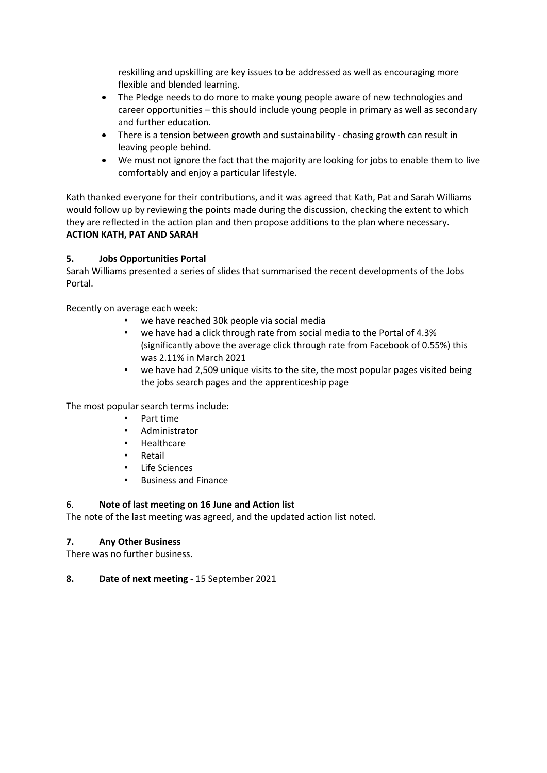reskilling and upskilling are key issues to be addressed as well as encouraging more flexible and blended learning.

- The Pledge needs to do more to make young people aware of new technologies and career opportunities – this should include young people in primary as well as secondary and further education.
- There is a tension between growth and sustainability chasing growth can result in leaving people behind.
- We must not ignore the fact that the majority are looking for jobs to enable them to live comfortably and enjoy a particular lifestyle.

Kath thanked everyone for their contributions, and it was agreed that Kath, Pat and Sarah Williams would follow up by reviewing the points made during the discussion, checking the extent to which they are reflected in the action plan and then propose additions to the plan where necessary. **ACTION KATH, PAT AND SARAH**

# **5. Jobs Opportunities Portal**

Sarah Williams presented a series of slides that summarised the recent developments of the Jobs Portal.

Recently on average each week:

- we have reached 30k people via social media
- we have had a click through rate from social media to the Portal of 4.3% (significantly above the average click through rate from Facebook of 0.55%) this was 2.11% in March 2021
- we have had 2,509 unique visits to the site, the most popular pages visited being the jobs search pages and the apprenticeship page

The most popular search terms include:

- Part time
- Administrator
- **Healthcare**
- Retail
- Life Sciences
- Business and Finance

# 6. **Note of last meeting on 16 June and Action list**

The note of the last meeting was agreed, and the updated action list noted.

# **7. Any Other Business**

There was no further business.

**8. Date of next meeting -** 15 September 2021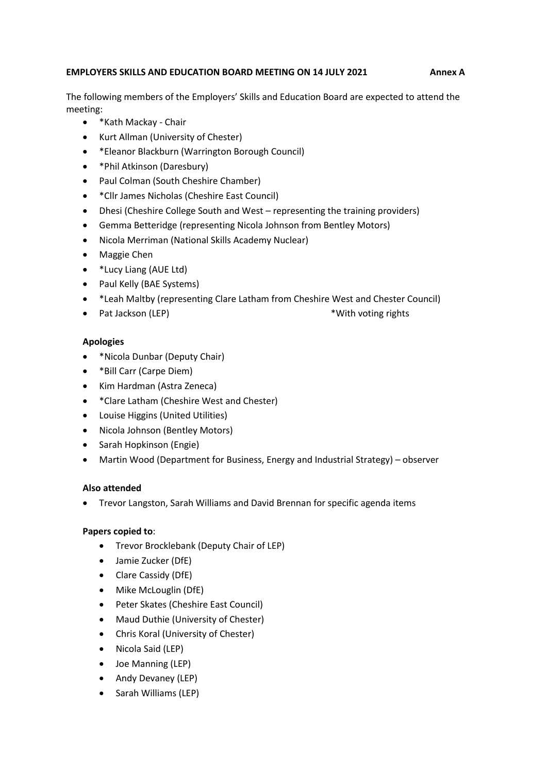## **EMPLOYERS SKILLS AND EDUCATION BOARD MEETING ON 14 JULY 2021 Annex A**

The following members of the Employers' Skills and Education Board are expected to attend the meeting:

- \*Kath Mackay Chair
- Kurt Allman (University of Chester)
- \*Eleanor Blackburn (Warrington Borough Council)
- \*Phil Atkinson (Daresbury)
- Paul Colman (South Cheshire Chamber)
- \*Cllr James Nicholas (Cheshire East Council)
- Dhesi (Cheshire College South and West representing the training providers)
- Gemma Betteridge (representing Nicola Johnson from Bentley Motors)
- Nicola Merriman (National Skills Academy Nuclear)
- Maggie Chen
- \*Lucy Liang (AUE Ltd)
- Paul Kelly (BAE Systems)
- \*Leah Maltby (representing Clare Latham from Cheshire West and Chester Council)
- Pat Jackson (LEP)  $*W$ ith voting rights

## **Apologies**

- \*Nicola Dunbar (Deputy Chair)
- \*Bill Carr (Carpe Diem)
- Kim Hardman (Astra Zeneca)
- \*Clare Latham (Cheshire West and Chester)
- Louise Higgins (United Utilities)
- Nicola Johnson (Bentley Motors)
- Sarah Hopkinson (Engie)
- Martin Wood (Department for Business, Energy and Industrial Strategy) observer

# **Also attended**

• Trevor Langston, Sarah Williams and David Brennan for specific agenda items

# **Papers copied to**:

- Trevor Brocklebank (Deputy Chair of LEP)
- Jamie Zucker (DfE)
- Clare Cassidy (DfE)
- Mike McLouglin (DfE)
- Peter Skates (Cheshire East Council)
- Maud Duthie (University of Chester)
- Chris Koral (University of Chester)
- Nicola Said (LEP)
- Joe Manning (LEP)
- Andy Devaney (LEP)
- Sarah Williams (LEP)